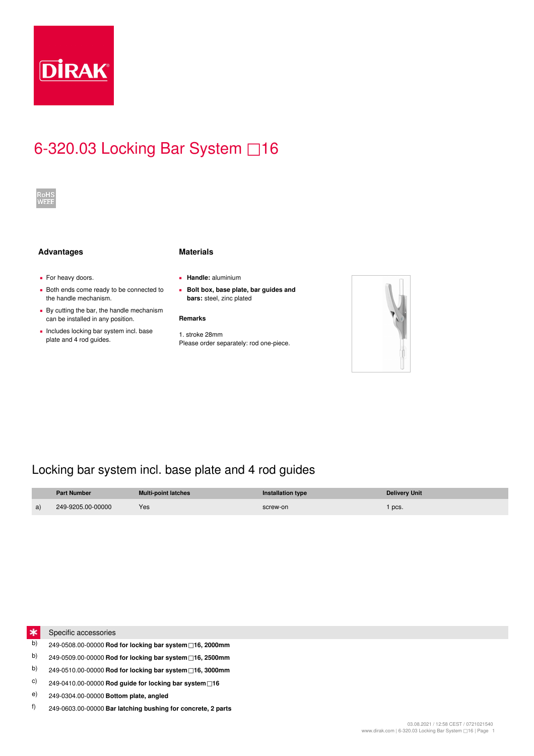

# 6-320.03 Locking Bar System □16



### **Advantages Materials**

- **•** For heavy doors.
- Both ends come ready to be connected to the handle mechanism.
- **By cutting the bar, the handle mechanism** can be installed in any position.
- **Includes locking bar system incl. base** plate and 4 rod guides.
- 
- **▪ Handle:** aluminium
- **Bolt box, base plate, bar guides and ▪ bars:** steel, zinc plated

### **Remarks**

1. stroke 28mm Please order separately: rod one-piece.



## Locking bar system incl. base plate and 4 rod guides

|    | <b>Part Number</b> | <b>Multi-point latches</b> | Installation type | <b>Delivery Unit</b> |
|----|--------------------|----------------------------|-------------------|----------------------|
| a) | 249-9205.00-00000  | Yes                        | screw-on          | pcs.                 |



- Specific accessories
- b) 249-0508.00-00000 **Rod for locking bar system□16, 2000mm**
- b) 249-0509.00-00000 **Rod for locking bar system□16, 2500mm**
- b) 249-0510.00-00000 **Rod for locking bar system□16, 3000mm**
- c) 249-0410.00-00000 **Rod guide for locking bar system□16**
- e) 249-0304.00-00000 **Bottom plate, angled**
- f) 249-0603.00-00000 **Bar latching bushing for concrete, 2 parts**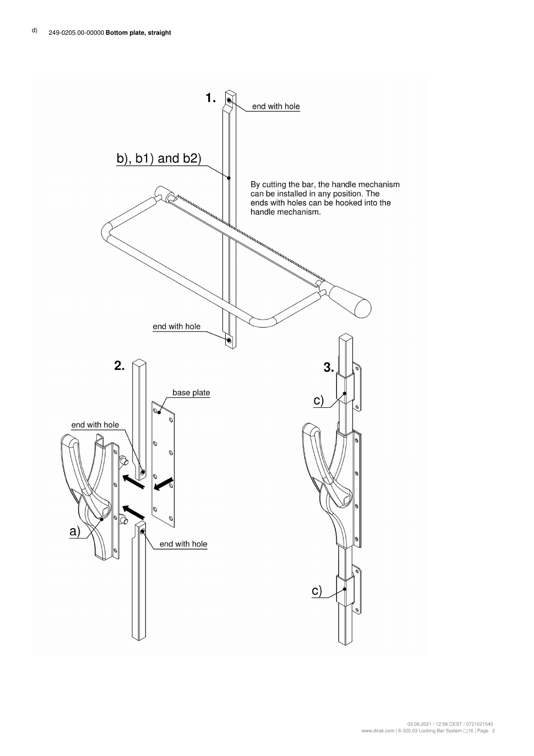